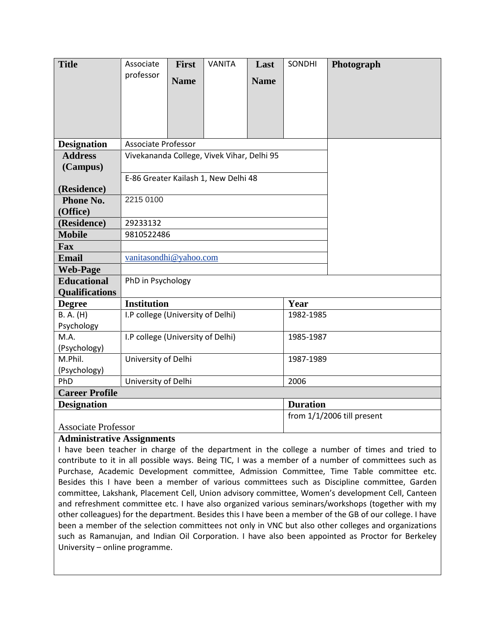| <b>Title</b>               | Associate                                      | <b>First</b> | <b>VANITA</b> | Last        | SONDHI          | Photograph                 |
|----------------------------|------------------------------------------------|--------------|---------------|-------------|-----------------|----------------------------|
|                            | professor                                      | <b>Name</b>  |               | <b>Name</b> |                 |                            |
|                            |                                                |              |               |             |                 |                            |
|                            |                                                |              |               |             |                 |                            |
|                            |                                                |              |               |             |                 |                            |
|                            |                                                |              |               |             |                 |                            |
| <b>Designation</b>         | Associate Professor                            |              |               |             |                 |                            |
| <b>Address</b>             | Vivekananda College, Vivek Vihar, Delhi 95     |              |               |             |                 |                            |
| (Campus)                   |                                                |              |               |             |                 |                            |
|                            | E-86 Greater Kailash 1, New Delhi 48           |              |               |             |                 |                            |
| (Residence)                |                                                |              |               |             |                 |                            |
| Phone No.                  | 2215 0100                                      |              |               |             |                 |                            |
| (Office)                   |                                                |              |               |             |                 |                            |
| (Residence)                | 29233132                                       |              |               |             |                 |                            |
| <b>Mobile</b>              | 9810522486                                     |              |               |             |                 |                            |
| Fax                        |                                                |              |               |             |                 |                            |
| <b>Email</b>               | vanitasondhi@yahoo.com                         |              |               |             |                 |                            |
| <b>Web-Page</b>            |                                                |              |               |             |                 |                            |
| <b>Educational</b>         | PhD in Psychology                              |              |               |             |                 |                            |
| <b>Qualifications</b>      |                                                |              |               |             |                 |                            |
| <b>Degree</b>              | <b>Institution</b>                             |              |               |             | Year            |                            |
| B. A. (H)                  | I.P college (University of Delhi)              |              |               |             | 1982-1985       |                            |
| Psychology                 |                                                |              |               |             |                 |                            |
| M.A.                       | I.P college (University of Delhi)<br>1985-1987 |              |               |             |                 |                            |
| (Psychology)               |                                                |              |               |             |                 |                            |
| M.Phil.                    | University of Delhi<br>1987-1989               |              |               |             |                 |                            |
| (Psychology)<br>PhD        | University of Delhi<br>2006                    |              |               |             |                 |                            |
| <b>Career Profile</b>      |                                                |              |               |             |                 |                            |
| <b>Designation</b>         |                                                |              |               |             | <b>Duration</b> |                            |
|                            |                                                |              |               |             |                 | from 1/1/2006 till present |
| <b>Associate Professor</b> |                                                |              |               |             |                 |                            |
|                            |                                                |              |               |             |                 |                            |

### **Administrative Assignments**

I have been teacher in charge of the department in the college a number of times and tried to contribute to it in all possible ways. Being TIC, I was a member of a number of committees such as Purchase, Academic Development committee, Admission Committee, Time Table committee etc. Besides this I have been a member of various committees such as Discipline committee, Garden committee, Lakshank, Placement Cell, Union advisory committee, Women's development Cell, Canteen and refreshment committee etc. I have also organized various seminars/workshops (together with my other colleagues) for the department. Besides this I have been a member of the GB of our college. I have been a member of the selection committees not only in VNC but also other colleges and organizations such as Ramanujan, and Indian Oil Corporation. I have also been appointed as Proctor for Berkeley University – online programme.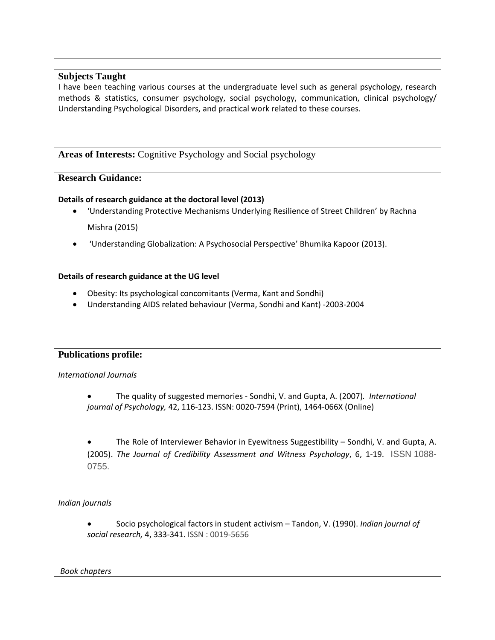### **Subjects Taught**

I have been teaching various courses at the undergraduate level such as general psychology, research methods & statistics, consumer psychology, social psychology, communication, clinical psychology/ Understanding Psychological Disorders, and practical work related to these courses.

**Areas of Interests:** Cognitive Psychology and Social psychology

## **Research Guidance:**

### **Details of research guidance at the doctoral level (2013)**

- 'Understanding Protective Mechanisms Underlying Resilience of Street Children' by Rachna Mishra (2015)
- 'Understanding Globalization: A Psychosocial Perspective' Bhumika Kapoor (2013).

## **Details of research guidance at the UG level**

- Obesity: Its psychological concomitants (Verma, Kant and Sondhi)
- Understanding AIDS related behaviour (Verma, Sondhi and Kant) -2003-2004

# **Publications profile:**

*International Journals*

• The quality of suggested memories - Sondhi, V. and Gupta, A. (2007)*. International journal of Psychology,* 42, 116-123. ISSN: 0020-7594 (Print), 1464-066X (Online)

• The Role of Interviewer Behavior in Eyewitness Suggestibility – Sondhi, V. and Gupta, A. (2005). *The Journal of Credibility Assessment and Witness Psychology*, 6, 1-19. ISSN 1088- 0755.

*Indian journals*

• Socio psychological factors in student activism – Tandon, V. (1990). *Indian journal of social research,* 4, 333-341. ISSN : 0019-5656

*Book chapters*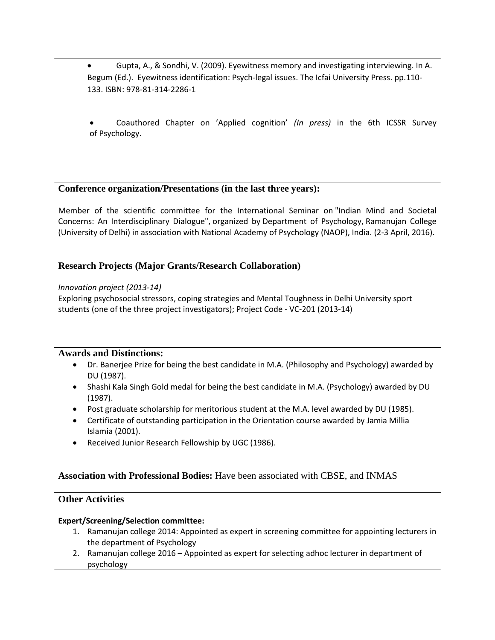• Gupta, A., & Sondhi, V. (2009). Eyewitness memory and investigating interviewing. In A. Begum (Ed.). Eyewitness identification: Psych-legal issues. The Icfai University Press. pp.110- 133. ISBN: 978-81-314-2286-1

• Coauthored Chapter on 'Applied cognition' *(In press)* in the 6th ICSSR Survey of Psychology.

## **Conference organization/Presentations (in the last three years):**

Member of the scientific committee for the International Seminar on "Indian Mind and Societal Concerns: An Interdisciplinary Dialogue", organized by Department of Psychology, Ramanujan College (University of Delhi) in association with National Academy of Psychology (NAOP), India. (2-3 April, 2016).

# **Research Projects (Major Grants/Research Collaboration)**

*Innovation project (2013-14)*

Exploring psychosocial stressors, coping strategies and Mental Toughness in Delhi University sport students (one of the three project investigators); Project Code - VC-201 (2013-14)

### **Awards and Distinctions:**

- Dr. Banerjee Prize for being the best candidate in M.A. (Philosophy and Psychology) awarded by DU (1987).
- Shashi Kala Singh Gold medal for being the best candidate in M.A. (Psychology) awarded by DU (1987).
- Post graduate scholarship for meritorious student at the M.A. level awarded by DU (1985).
- Certificate of outstanding participation in the Orientation course awarded by Jamia Millia Islamia (2001).
- Received Junior Research Fellowship by UGC (1986).

# **Association with Professional Bodies:** Have been associated with CBSE, and INMAS

### **Other Activities**

### **Expert/Screening/Selection committee:**

- 1. Ramanujan college 2014: Appointed as expert in screening committee for appointing lecturers in the department of Psychology
- 2. Ramanujan college 2016 Appointed as expert for selecting adhoc lecturer in department of psychology